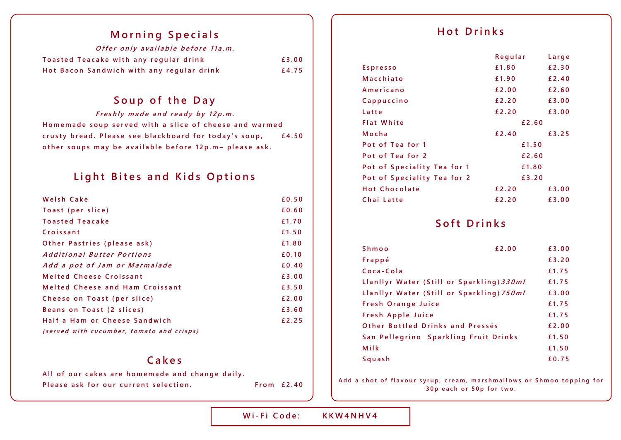#### **Morning Specials**

| Offer only available before 11a.m.        |       |
|-------------------------------------------|-------|
| Toasted Teacake with any regular drink    | £3.00 |
| Hot Bacon Sandwich with any regular drink | £4.75 |

## Soup of the Day

Freshly made and ready by 12p.m. Homemade soup served with a slice of cheese and warmed crusty bread. Please see blackboard for today's soup, £4.50 other soups may be available before 12p.m- please ask.

#### **Light Bites and Kids Options**

| Welsh Cake                                | £0.50 |
|-------------------------------------------|-------|
| Toast (per slice)                         | £0.60 |
| <b>Toasted Teacake</b>                    | £1.70 |
| Croissant                                 | £1.50 |
| Other Pastries (please ask)               | £1.80 |
| Additional Butter Portions                | £0.10 |
| Add a pot of Jam or Marmalade             | £0.40 |
| <b>Melted Cheese Croissant</b>            | £3.00 |
| <b>Melted Cheese and Ham Croissant</b>    | £3.50 |
| Cheese on Toast (per slice)               | £2.00 |
| Beans on Toast (2 slices)                 | £3.60 |
| Half a Ham or Cheese Sandwich             | £2.25 |
| (served with cucumber, tomato and crisps) |       |

#### **C a k e s**

All of our cakes are homemade and change daily. **Please ask for our current selection.** From £2.40

### **H o t D r i n k s**

|                             | Regular | Large |
|-----------------------------|---------|-------|
| Espresso                    | £1.80   | £2.30 |
| Macchiato                   | £1.90   | £2.40 |
| Americano                   | £2.00   | £2.60 |
| Cappuccino                  | £2.20   | £3.00 |
| Latte                       | £2.20   | £3.00 |
| <b>Flat White</b>           | £2.60   |       |
| Mocha                       | £2.40   | £3.25 |
| Pot of Tea for 1            | £1.50   |       |
| Pot of Tea for 2            | £2.60   |       |
| Pot of Speciality Tea for 1 | £1.80   |       |
| Pot of Speciality Tea for 2 | £3.20   |       |
| <b>Hot Chocolate</b>        | £2.20   | £3.00 |
| Chai Latte                  | £2.20   | £3.00 |

## Soft Drinks

| <b>Shmoo</b>                              | £2.00 | £3.00 |
|-------------------------------------------|-------|-------|
| Frappé                                    |       | £3.20 |
| Coca-Cola                                 |       | £1.75 |
| Llanllyr Water (Still or Sparkling) 330ml |       | £1.75 |
| Llanllyr Water (Still or Sparkling) 750ml |       | £3.00 |
| <b>Fresh Orange Juice</b>                 |       | £1.75 |
| Fresh Apple Juice                         |       | £1.75 |
| Other Bottled Drinks and Pressés          |       | £2.00 |
| San Pellegrino Sparkling Fruit Drinks     |       | £1.50 |
| Milk                                      |       | £1.50 |
| Squash                                    |       | £0.75 |

Add a shot of flavour syrup, cream, marshmallows or Shmoo topping for **3 0 p e a c h o r 5 0 p f o r t w o .**

**W i - F i C o d e : K K W 4 N H V 4**